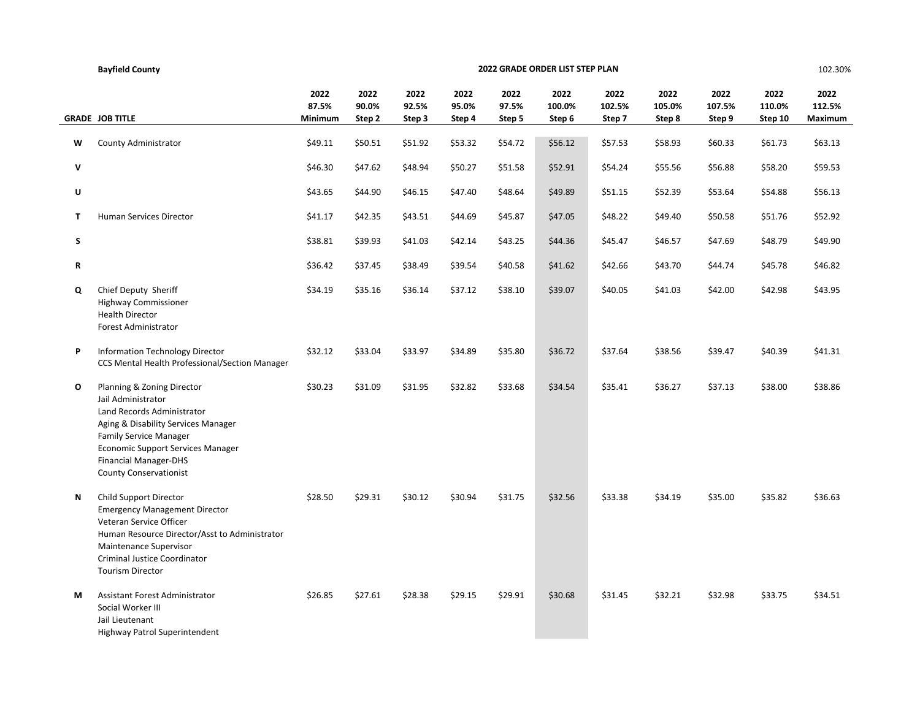|              | <b>Bayfield County</b>                                                                                                                                                                                                                                              |                          |                         |                         |                         |                         | 2022 GRADE ORDER LIST STEP PLAN |                          |                          |                          |                           | 102.30%                   |
|--------------|---------------------------------------------------------------------------------------------------------------------------------------------------------------------------------------------------------------------------------------------------------------------|--------------------------|-------------------------|-------------------------|-------------------------|-------------------------|---------------------------------|--------------------------|--------------------------|--------------------------|---------------------------|---------------------------|
|              | <b>GRADE JOB TITLE</b>                                                                                                                                                                                                                                              | 2022<br>87.5%<br>Minimum | 2022<br>90.0%<br>Step 2 | 2022<br>92.5%<br>Step 3 | 2022<br>95.0%<br>Step 4 | 2022<br>97.5%<br>Step 5 | 2022<br>100.0%<br>Step 6        | 2022<br>102.5%<br>Step 7 | 2022<br>105.0%<br>Step 8 | 2022<br>107.5%<br>Step 9 | 2022<br>110.0%<br>Step 10 | 2022<br>112.5%<br>Maximum |
| w            | County Administrator                                                                                                                                                                                                                                                | \$49.11                  | \$50.51                 | \$51.92                 | \$53.32                 | \$54.72                 | \$56.12                         | \$57.53                  | \$58.93                  | \$60.33                  | \$61.73                   | \$63.13                   |
| $\mathsf{v}$ |                                                                                                                                                                                                                                                                     | \$46.30                  | \$47.62                 | \$48.94                 | \$50.27                 | \$51.58                 | \$52.91                         | \$54.24                  | \$55.56                  | \$56.88                  | \$58.20                   | \$59.53                   |
| U            |                                                                                                                                                                                                                                                                     | \$43.65                  | \$44.90                 | \$46.15                 | \$47.40                 | \$48.64                 | \$49.89                         | \$51.15                  | \$52.39                  | \$53.64                  | \$54.88                   | \$56.13                   |
| T            | Human Services Director                                                                                                                                                                                                                                             | \$41.17                  | \$42.35                 | \$43.51                 | \$44.69                 | \$45.87                 | \$47.05                         | \$48.22                  | \$49.40                  | \$50.58                  | \$51.76                   | \$52.92                   |
| S            |                                                                                                                                                                                                                                                                     | \$38.81                  | \$39.93                 | \$41.03                 | \$42.14                 | \$43.25                 | \$44.36                         | \$45.47                  | \$46.57                  | \$47.69                  | \$48.79                   | \$49.90                   |
| $\mathbf R$  |                                                                                                                                                                                                                                                                     | \$36.42                  | \$37.45                 | \$38.49                 | \$39.54                 | \$40.58                 | \$41.62                         | \$42.66                  | \$43.70                  | \$44.74                  | \$45.78                   | \$46.82                   |
| Q            | Chief Deputy Sheriff<br>Highway Commissioner<br><b>Health Director</b><br>Forest Administrator                                                                                                                                                                      | \$34.19                  | \$35.16                 | \$36.14                 | \$37.12                 | \$38.10                 | \$39.07                         | \$40.05                  | \$41.03                  | \$42.00                  | \$42.98                   | \$43.95                   |
| P            | Information Technology Director<br>CCS Mental Health Professional/Section Manager                                                                                                                                                                                   | \$32.12                  | \$33.04                 | \$33.97                 | \$34.89                 | \$35.80                 | \$36.72                         | \$37.64                  | \$38.56                  | \$39.47                  | \$40.39                   | \$41.31                   |
| O            | Planning & Zoning Director<br>Jail Administrator<br>Land Records Administrator<br>Aging & Disability Services Manager<br><b>Family Service Manager</b><br><b>Economic Support Services Manager</b><br><b>Financial Manager-DHS</b><br><b>County Conservationist</b> | \$30.23                  | \$31.09                 | \$31.95                 | \$32.82                 | \$33.68                 | \$34.54                         | \$35.41                  | \$36.27                  | \$37.13                  | \$38.00                   | \$38.86                   |
| Ν            | Child Support Director<br><b>Emergency Management Director</b><br>Veteran Service Officer<br>Human Resource Director/Asst to Administrator<br>Maintenance Supervisor<br>Criminal Justice Coordinator<br><b>Tourism Director</b>                                     | \$28.50                  | \$29.31                 | \$30.12                 | \$30.94                 | \$31.75                 | \$32.56                         | \$33.38                  | \$34.19                  | \$35.00                  | \$35.82                   | \$36.63                   |
| М            | <b>Assistant Forest Administrator</b><br>Social Worker III<br>Jail Lieutenant<br>Highway Patrol Superintendent                                                                                                                                                      | \$26.85                  | \$27.61                 | \$28.38                 | \$29.15                 | \$29.91                 | \$30.68                         | \$31.45                  | \$32.21                  | \$32.98                  | \$33.75                   | \$34.51                   |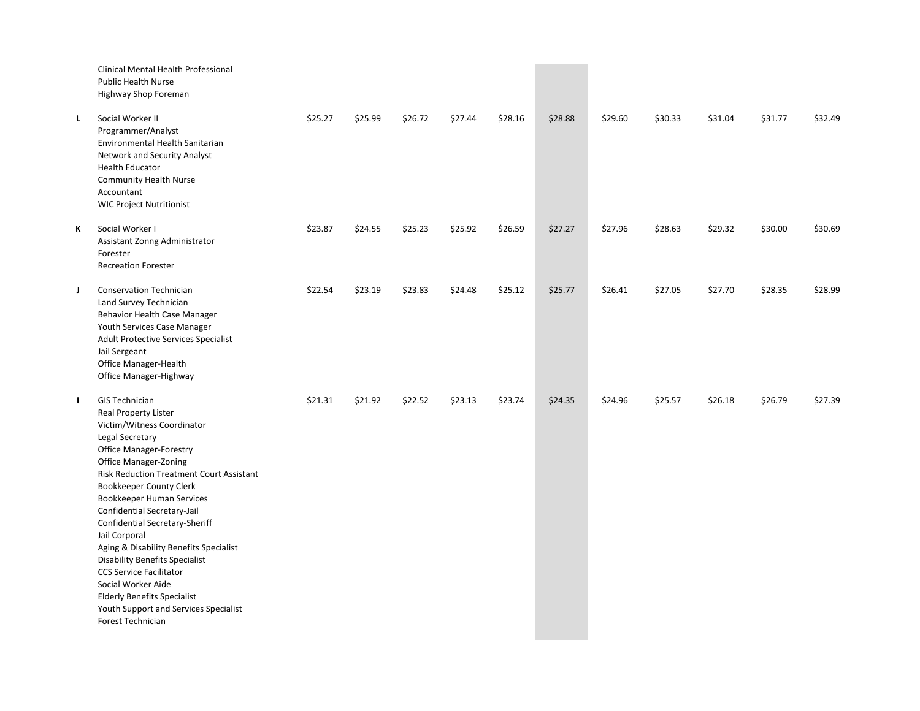|   | Clinical Mental Health Professional<br>Public Health Nurse<br>Highway Shop Foreman                                                                                                                                                                                                                                                                                                                                                                                                                                                                                                                                  |         |         |         |         |         |         |         |         |         |         |         |
|---|---------------------------------------------------------------------------------------------------------------------------------------------------------------------------------------------------------------------------------------------------------------------------------------------------------------------------------------------------------------------------------------------------------------------------------------------------------------------------------------------------------------------------------------------------------------------------------------------------------------------|---------|---------|---------|---------|---------|---------|---------|---------|---------|---------|---------|
| L | Social Worker II<br>Programmer/Analyst<br>Environmental Health Sanitarian<br>Network and Security Analyst<br><b>Health Educator</b><br><b>Community Health Nurse</b><br>Accountant<br><b>WIC Project Nutritionist</b>                                                                                                                                                                                                                                                                                                                                                                                               | \$25.27 | \$25.99 | \$26.72 | \$27.44 | \$28.16 | \$28.88 | \$29.60 | \$30.33 | \$31.04 | \$31.77 | \$32.49 |
| ĸ | Social Worker I<br>Assistant Zonng Administrator<br>Forester<br><b>Recreation Forester</b>                                                                                                                                                                                                                                                                                                                                                                                                                                                                                                                          | \$23.87 | \$24.55 | \$25.23 | \$25.92 | \$26.59 | \$27.27 | \$27.96 | \$28.63 | \$29.32 | \$30.00 | \$30.69 |
| J | <b>Conservation Technician</b><br>Land Survey Technician<br>Behavior Health Case Manager<br>Youth Services Case Manager<br>Adult Protective Services Specialist<br>Jail Sergeant<br>Office Manager-Health<br>Office Manager-Highway                                                                                                                                                                                                                                                                                                                                                                                 | \$22.54 | \$23.19 | \$23.83 | \$24.48 | \$25.12 | \$25.77 | \$26.41 | \$27.05 | \$27.70 | \$28.35 | \$28.99 |
| г | <b>GIS Technician</b><br>Real Property Lister<br>Victim/Witness Coordinator<br>Legal Secretary<br><b>Office Manager-Forestry</b><br><b>Office Manager-Zoning</b><br><b>Risk Reduction Treatment Court Assistant</b><br><b>Bookkeeper County Clerk</b><br>Bookkeeper Human Services<br>Confidential Secretary-Jail<br>Confidential Secretary-Sheriff<br>Jail Corporal<br>Aging & Disability Benefits Specialist<br><b>Disability Benefits Specialist</b><br><b>CCS Service Facilitator</b><br>Social Worker Aide<br><b>Elderly Benefits Specialist</b><br>Youth Support and Services Specialist<br>Forest Technician | \$21.31 | \$21.92 | \$22.52 | \$23.13 | \$23.74 | \$24.35 | \$24.96 | \$25.57 | \$26.18 | \$26.79 | \$27.39 |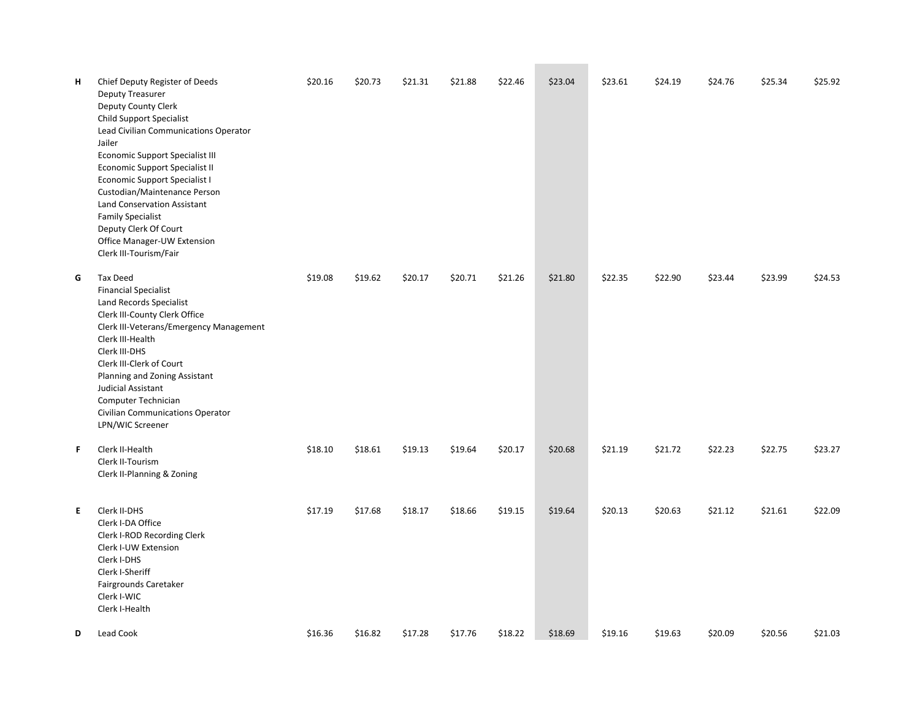| н | Chief Deputy Register of Deeds<br><b>Deputy Treasurer</b><br>Deputy County Clerk<br>Child Support Specialist<br>Lead Civilian Communications Operator<br>Jailer<br><b>Economic Support Specialist III</b><br>Economic Support Specialist II<br>Economic Support Specialist I<br>Custodian/Maintenance Person<br><b>Land Conservation Assistant</b><br><b>Family Specialist</b><br>Deputy Clerk Of Court<br>Office Manager-UW Extension<br>Clerk III-Tourism/Fair | \$20.16 | \$20.73 | \$21.31 | \$21.88 | \$22.46 | \$23.04 | \$23.61 | \$24.19 | \$24.76 | \$25.34 | \$25.92 |
|---|------------------------------------------------------------------------------------------------------------------------------------------------------------------------------------------------------------------------------------------------------------------------------------------------------------------------------------------------------------------------------------------------------------------------------------------------------------------|---------|---------|---------|---------|---------|---------|---------|---------|---------|---------|---------|
| G | <b>Tax Deed</b><br><b>Financial Specialist</b><br>Land Records Specialist<br>Clerk III-County Clerk Office<br>Clerk III-Veterans/Emergency Management<br>Clerk III-Health<br>Clerk III-DHS<br>Clerk III-Clerk of Court<br>Planning and Zoning Assistant<br>Judicial Assistant<br>Computer Technician<br><b>Civilian Communications Operator</b><br>LPN/WIC Screener                                                                                              | \$19.08 | \$19.62 | \$20.17 | \$20.71 | \$21.26 | \$21.80 | \$22.35 | \$22.90 | \$23.44 | \$23.99 | \$24.53 |
| F | Clerk II-Health<br>Clerk II-Tourism<br>Clerk II-Planning & Zoning                                                                                                                                                                                                                                                                                                                                                                                                | \$18.10 | \$18.61 | \$19.13 | \$19.64 | \$20.17 | \$20.68 | \$21.19 | \$21.72 | \$22.23 | \$22.75 | \$23.27 |
| E | Clerk II-DHS<br>Clerk I-DA Office<br>Clerk I-ROD Recording Clerk<br>Clerk I-UW Extension<br>Clerk I-DHS<br>Clerk I-Sheriff<br>Fairgrounds Caretaker<br>Clerk I-WIC<br>Clerk I-Health                                                                                                                                                                                                                                                                             | \$17.19 | \$17.68 | \$18.17 | \$18.66 | \$19.15 | \$19.64 | \$20.13 | \$20.63 | \$21.12 | \$21.61 | \$22.09 |
| D | Lead Cook                                                                                                                                                                                                                                                                                                                                                                                                                                                        | \$16.36 | \$16.82 | \$17.28 | \$17.76 | \$18.22 | \$18.69 | \$19.16 | \$19.63 | \$20.09 | \$20.56 | \$21.03 |